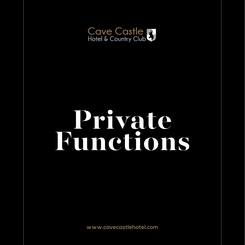

# **Private Functions**

**www.cavecastlehotel.com**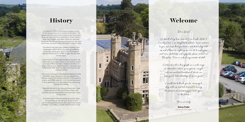

## **History**

Completed in 1875, the present building stands on the foundations of an ancient fortification. The settlement of South Cave is listed in the Domesday Book as 'Cave' and this consisted of three manors: East Hall, Faxfleet and West Hall. East Hall (also known as The Manor Paramount) refers to the area now known as South Cave, the home of Cave Castle.

The Manor has had many owners including John Washington (1631-1677), the great grandfather of George Washington. But it was the Boldero-Barnard family who, in 1748, bought the site and resided there.

Little is known of the original building, however the cellars with an escape tunnel to the nearby church pre date 1791 when Henry Hakewill, architect of Rugby School, was commissioned to renovate and extend East Hall, which by then was known locally as Cave Castle.

The manor remained in the Boldero-Barnard family until 1925 when the last of the line, Ursula Mary, sold up and left for warmer climates. The house lay empty until 1938 when Mr. J W Carmichael saved it from dereliction, but demolished the north wing, halving the building.

Towards the end of the Second World War, Cave Castle became a HQ and Officers' Mess, with prisoners of war being held in barracks built within the grounds.

In recent years it has flourished as a hotel. Now incorporating an 18-hole golf course in the surrounding parkland and a new health and leisure complex, it provides a unique and exclusive venue.



# **Welcome**

## Dear Guest,

On behalf of my team here at Cave Castle Hotel & Country Club, I am delighted to extend a warm welcome to you. We hope that you have a wonderful stay with us and if there is anything we can do to make your visit more comfortable and enjoyable, please contact our Reception Team or indeed any member of staff.

Contained within this guide is a wide range of information which gives you an insight into our excellent facilities of which we hope you'll take advantage of as our guest.

I would like to thank you for choosing to stay with us and look forward to having the pleasure of welcoming you back again in the future.

Yours sincerely

**Simon Fuller** General Manager

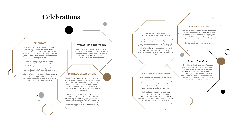# **Celebrations**

#### **CELEBRATE**

Of course it helps if you have a stunning location at the foot of the Yorkshire Wolds to make that day even more memorable! From intimate receptions to exceptional afterparties, Cave Castle's team of experts are able to offer invaluable advice from the early stages of planning and throughout meaning that you can relax and trust that your anniversary, birthday or even charity dinner will be all that you had hoped for.

Life is made up of moments that make it worth living but there are many cherished moments that can be missed due to the stress of modern life; don't take your life for granted, make it count and celebrate those amazing life events.

#### **WELCOME TO THE WORLD**

Welcome a new life into the world with a wonderful Christening or naming ceremony. We understand that all parents want their child's christening day to be perfect, and we're here to make that happen.

#### **CELEBRATE A LIFE**

The loss of a loved one is a difficult time and we understand how important it is for you to honour that person with the dignity and respect that they deserve. Our experienced team are available to assist with the arrangements, helping you to ensure that the wishes of your loved one are met.

#### **CHARITY EVENTS**

Organising a charity event is a fantastic way to promote awareness, raise money and even have some fun too. However, the undertaking can be a lot of hard work, and pulling off a successful large-scale event requires a great amount of planning. organisation and creativity, but don't worry; our team are on hand to help.

#### **SCHOOL LEAVERS & COLLEGE GRADUATIONS**

Graduation is a time of reflecting on the past and looking on to the future. It is the time for you graduates to get together for one last hurrah before moving on to bigger and better adventures. So why not celebrate the end of your exams and an era and make your prom an occasion to remember here at Cave Castle?

#### **BIRTHDAY CELEBRATIONS**

Sweet 16 and Turning 18 – A sweet sixteen or 18th birthday party are coming of age events that celebrate a teenager's transition into adulthood. From planning a family dinner to an extravagant after-party, Cave Castle's team of experts are able to help and tend to your requirements.

Other Milestone Birthdays – It is true that you are only as old as you feel so whether you are looking to celebrate growing older with a children's style tea party or your retirement with an elegant black tie dinner, our events team are happy to assist with the planning.

#### **WEDDING ANNIVERSARIES**

Your wedding day was the day the two of you celebrated with family and friends the beginning of your marriage, so it seems only right that you celebrate the continuation of your love for one another throughout the years on your wedding anniversary.

Each and every wedding anniversary deserves to be celebrated in a memorable way. When you celebrate your wedding anniversary each year it is an annual renewal of your commitment to one another.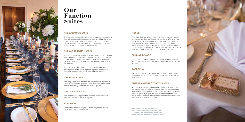

## **Our Function Suites**

#### **THE BALMORAL SUITE**

The Balmoral is south facing and has an abundance of natural light with access to the terrace overlooking the lawns and lake. It has its own private bar and can accommodate up to 60 people for a sit down meal with a dance floor or 100 without. The maximum for an informal buffet is 150.

### **MENUS**

To ensure that your party receive the best and most efficient service, we ask that you choose the same menu for all of your party. We would be delighted to discuss your choice with you and offer advice when needed (including suitable menus for those people with special dietary requirements). For smaller parties dining in the Kings or Queens room, we can offer a more selective private dining menu (up to a maximum of 18).

We are happy to suggest table plans for all functions and will be pleased to discussthe room layout with you for the Suite of your choice.

## **ROOM HIRE**

Room hire is included subject to minimum guest numbers which will be agreed on booking.

#### **DRINKS PACKAGE**

Our drinks package is enclosed as a guide, however, should you wish to consider alternatives, we will be pleased to discuss this with you.

#### **TABLE PLAN**

#### **ENTERTAINMENT / TOASTMASTER**

Both the Balmoral and Sandringham Suites have PA facilities. We can recommend a disco company and can accommodate most bands. Please note a Public Liability Insurance Certificate will be required if you provide your own entertainment. We would be pleasedto discuss your requirements, whether it be a live band, disco or guest speaker.

### **THE SANDRINGHAM SUITE**

This grand room with a hint of medieval splendour, can seat up to 120 people and accommodate 200 people for an informal buffet style function. It has its own private bar facilities and generous dance floor. If dancing is not required we can cater for up to 150.

The two suites can be combined to fulfil the requirements of the larger functions. By linking them together it enables us to seat 228 people with a dance floor and 250 without.

### **THE KINGS ROOM**

The Kings Room is situated on the first floor with impressive views of the lake and gardens. This suite is popular for small parties and family gatherings of up to 18 guests.

### **THE QUEENS ROOM**

This room like the Kings Room is situated on the first floor. This suite can cater for up to 8 guests.

> **Note: For the Kings and Queens Room there will be a room hire charge of £100.00.**

**The services of our professional Toastmaster are available and pricesare available on request.**

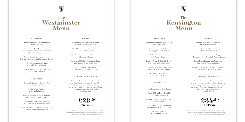## **– The – Westminster Menu**

# **– The – Menu**

# **Kensington**



#### **STARTERS**

Chef's Homemade Soup of the Day with Crusty Roll

Duck Liver & Wild Mushroom Pate with Toasted Ciabatta & Caramelised Red Onion Chutney

Fan of Cantaloupe Melon with an Orange & Ginger Salsa Champagne Sorbet

> Prawn & Asparagus Roulade with a Dill Creme Fraiche

Creamy Garlic & Thyme Mushrooms on Toasted Ciabatta

#### **STARTERS**

Homemade Chef's Soup of the Day with Crusty Roll

> Oak Roast Salmon Fishcake on an Apple & Celeriac Slaw

Grilled Haloumi, Pomegranate & Rocket Salad

Dressed Prawn Salad with Brandy Mayonnaise on Dressed Leaves

Chicken Liver & Truffle Pate with an Apple & Saffron Chutney

> Roasted Cherry Tomato & Basil Bruschetta

#### **DESSERTS**

Lemon & Blueberry Cheesecake with Raspberry Coulis

> Sticky Toffee Pudding with Vanilla Custard

White Chocolate, Ginger & Rhubarb Bavarois with Mango Coulis

Millionaires Chocolate Tart with Chocolate Sauce & Chantilly Cream

Profiteroles Filled with Raspberry Mousse Topped with White Chocolate

#### **DESSERTS**

Triple Chocolate Cheesecake with Chocolate Anglaise Sauce

Apple & Mixed Berry Crumble with Vanilla Ice Cream

Lemon & White Chocolate Posset with Cafe Curls

Black Cherry & Kirsch Roulade **Per Person Per Person** Finished with a Berry Compote

> Lemon & Lime Tar with Raspberry Coulis

#### **COFFEE/TEA & MINTS**

Please ask for more information on this menu if you have an allergy. Regrettably, we cannot guarantee any of these dishes are completely free from traces of nuts. It is our policy not to use any genetically modified food

#### **COFFEE/TEA & MINTS**

Please ask for more information on this menu if you have an allergy. Regrettably, we cannot guarantee any of these dishes are completely free from traces of nuts. It is our policy not to use any genetically modified food



#### **MAINS**

Roast Ribeye of Beef with a Truffle & Shitake Mushroom Sauce

Roast Loin of Pork with a Calvados & Blue Cheese Sauce

Poached Salmon Steak with a Fennel & Samphire Sauce

Supreme of Chicken Wrapped in Bacon with a Garlic & Spinach Cream

> Braised Leg of Lamb with a Redcurrant & Rosemary Jus

#### **MAINS**

Braised Beef in Beer & Shallots with Button Mushrooms

Baked Cod Steak with Lemon, Garlic & Coriander Sauce

Pan Fried Cornfed Chicken Wrapped in Pancetta with a Tomato & Paprika Sauce

Lamb Rump Braised with Rosemary Red Wine & Flageolet Beans

Seabass Fillet Served with Wilted Greens & Finished with a Lime & Dill Sauce

**To ensure the best possible service please select one dish per course for the entire group. Suitable dishes will then be offered to those with special dietary needs**

**To ensure the best possible service please select one dish per course for the entire group. Suitable dishes will then be offered to those with special dietary needs**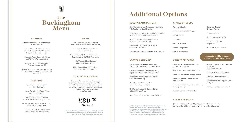#### **STARTERS**

Chef's Homemade Soup of the Day with Crusty Roll

Smoked Haddock & Prawn Terrine with a Horseradish & Dill Cream, Served on Dressed Leaves

Mixed Anti Pasto Salad with Olives and Pickled Wild Mushrooms

Asparagus & Pea Shoot Risotto Finished with Lemon Oil

Venison, Port & Pink Peppercorn Terrine with a Cranberry Chutney and Toasted Ciabatta

#### **VEGETARIAN STARTERS**

Beef Tomato, Wilted Rocket and Mozzarella Mille Feuille with Basil Dressing

Mediterranean Vegetable Puff Pastry Tartlet with Sundried Tomato Creme Fraiche

Dark Chocolate & Pistachio Dome Served with a Raspberry Coulis

Herb Crusted Breaded Goats Cheese with a Plum Sultana Chutney

Wild Mushroom & Garlic Bruschetta with a Balsamic Glaze

Mexican Quinoa Salad on Baby Gem Lettuce

**£39.50 Per Person**

#### **CHILDRENS MEALS**

(12 years & under) Any child wishing to have the same menu as the adults will be charged at two thirds of the adult price.

#### **CHOICE OF SOUPS**

#### **DESSERTS**

Tomato & Basil **v** Tomato & Roast

Trio of Chocolate Desserts with Chantilly Cream

Honey Parfait with Mulled Wine and Plum Compote

Mint Chocolate Delice Finished with Creme de Menth Anglais Sauce

Fruits of the Forest Summer Pudding with Vanilla Pod Ice Cream

#### **COFFEE/TEA & MINTS**

Please ask for more information on this menu if you have an allergy. Regrettably, we cannot guarantee any of these dishes are completely free from traces of nuts. It is our policy not to use any genetically modified food

Smoked Salmor and Dill Blinis

Indonesian Chick Roll Asparagus

#### **MAINS**

Pan Fried Guinea Fowl Supreme Served with a Black Olive & Tomato Ragu

> Poached Hallibut with a Prawn & Lobster Bisque

6oz Fillet Steak Rolled in Wild Mushroom Powder with a Truffle & Thyme Jus

> Half Roasted Duck Served with Hoi Sin and Pak Choi

Roast Rack of Lamb with a Herb & Garlic Crust and Port Jus

## **– The – Buckingham Menu**

 $\overline{\mathbf{1}}$ 

# **Additional Options**

Leek & Potato

Minestrone

Broccoli & Stilton

Country Vegetal

Carrot & Coriander

Selection of Feu Mushroom & Sa

King Prawns wra

Smoked Chicker

Butternut Squash & Sweet Potato

Celeriac & Fennel

Wild Mushroom & Thyme

Ham Hock & Spring Vegetable

Moroccan Spiced Tomato

**4 canapés - £6.10 per guest or 7 canapés - £8.75 per guest.**

#### **VEGETARIAN MAINS**

Roast Sweet Red Pepper Filled with Mushroom Stroganoff on Turmeric Rice

Sundried Tomato & Mediterranean Vegetable Tart Tatin with Rocket Salad

Butternut Squash & Spinach Risotto with Parmesan Crisp

Root Veg & Lentil Casserole with a Sweet Potato Crust

Cauliflower Steak with Curried Butter & Sweet Potato Fries

Black Bean & Shitake Mushroom Enchiladas

**CANAPÉ SELECTOR**

Spears wrapped in Cured Ham



| Í            |
|--------------|
| t Red Pepper |
|              |
|              |
| n            |
| ble          |
|              |

| uillettes with Ham.<br>ılmon | Mini Bouchee with a Chicken Liver<br>and Green   |
|------------------------------|--------------------------------------------------|
|                              | Peppercorn Parfait                               |
| apped in Filo Pastry         |                                                  |
|                              | Cocktail Chicken Satay Kebab                     |
| and Mango Tartlets ו         |                                                  |
|                              | Seafood Dim Sum Selection                        |
| า. Cream Cheese              |                                                  |
|                              | Mini Yorkshire Pudding with Beef<br>& Vegetables |
| ken and Noodle Spring        |                                                  |
|                              | Pineapple & Strawberry Stack                     |
|                              |                                                  |

**If there is a particular Vegetarian dish that you would like we would be pleased to produce this for you. Please ask for more information on this menu if you have an allergy. Regrettably, we cannot guarantee any of these dishes are completely free from traces of nuts. It is our policy not to use any genetically modified food.**

**To ensure the best possible service please select one dish per course for the entire group. Suitable dishes will then be offered to those with special dietary needs**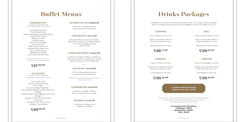#### **FINGER BUFFET**

**PLEASE CHOOSE FROM THE FOLLOWING ITEMS - MAX 6 ITEMS**

Assorted Sandwiches French Bread Pizza Honey and Mustard Cocktail Sausages Individual Mini Quiches Peking Duck Rolls Chicken Goujons Spicy Potato Wedges Assorted Wraps BBQ Chicken Drumsticks Breaded Garlic Mushrooms Cajun Chicken Skewers Vegetable Spring Rolls Cheesy Baked Potato Skins

> **A selection of Crudities & Dips are included with your buffet choice.**

#### **SAPPHIRE**

Glass of Bucks Fizz on arrival

Glass of House Red, White or Rose Wine with your meal

Sparkling Wine for the Toast

#### **OPAL**

Glass of Mulled Wine on arrival

Glass of House Red, White or Rose Wine with your meal

Sparkling Wine for the Toast

#### **EMERALD**

Glass of Pimms on arrival

2 Glasses of House Red, White or Rose Wine with your meal

Champagne for the Toast

### **DIAMOND**

Glass of Champagne on arrival

2 Glasses of House Red, White or Rose Wine with your meal

Champagne for the Toast

#### **FORK BUFFET £17.75 PP**

Sliced Cold Meats, Selection of Salads, Mini Individual Quiches, Coronation Chicken & Hot Potato Wedges served with Petit Pain

#### **AFTERNOON TEA £20.00 PP**

A Selection of Sandwiches and Cakes served with Tea/Coffee

#### **YORKSHIRE BUFFET £18.95 PP**

A Selection of English Cheeses with Biscuits, Celery, Pate, Pork Pie, Yorkshire Ham. Salads, Pickles, Chutneys & Assorted Breads

#### **HOG ROAST £17.95 PP**

With crackling, apple sauce and stuffing served in a bread bun

**Selection of salads available at £3 per person. (Min number 100)**

#### **CHEESEBOARD £8.50 PP**

A selection of English Cheeses, Biscuits, Grapes, Celery & Apple

#### **DESSERTS £7.95 PP**

A Selection of Desserts are available on request

**HOT BUFFET PLEASE CHOOSE FROM THE FOLLOWING ITEMS - MAX 2 ITEMS**

Pie & Mushy Peas Fish Pie with Garden Peas Curry & Rice Bacon/Sausage Sandwiches 6oz 100% Beef Burger in a Bap with Potato Wedges Hot Roast Beef & Onion Baguett with Potato **Wedges** Bangers & Mash with Onion Gravy Chilli & Rice Cottage Pie with Crusty Bread Lasagne & Garlic Bread

## **£17.00 PP**

## **£18.75 PP £20.95 PP**

## **£26.50 PP £29.50 PP**

**£16.00 PP**

# **Buffet Menus Drinks Packages**

In addition to our choice of menus we are able to offer you a range of drinks packages. Should you require an alternative we will be delighted to tailor a package to suit you.

> **House wines can be chosen from our wine list. Should you require an alternative we will be pleased to discuss our wine list with you and assist with your choice.**

> > **Our Corkage fee per 70cl bottle is: Champagne - £18.00 Sparkling Wine - £16.00 Wine - £14.00**

#### **CHILDRENS DRINKS PACKAGE 3 glasses of soft drinks - £4.50**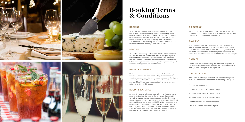







# **Booking Terms & Conditions**

#### **BOOKING**

When you decide upon your date and requirements, we can make a provisional booking for you. This booking will be held for a period of 14 days, however, should a second party be interested in the same date we will contact you. Prices quoted are correct at time of printing and are inclusive of VAT. However, in view of rising prices it may be necessary to increase some of our charges from time to time.

#### **DISCUSSION**

Two months prior to your function, our Function Advisor will contact you to make arrangements to meet and discuss menu requirements, numbers and other details.

#### **PAYMENT**

A Pro Forma invoice for the anticipated total cost will be sent to you with final details of the Function. Final numbers are required 4 weeks prior to your function together with full payment. Should the final number of guests on the day be more than the number advised, we will invoice you accordingly.

#### **DAMAGE**

Please note the person booking the function is responsible for their entire guest's behaviour and any theft, vandalism or damage will be charged to the organiser.

#### **CANCELLATION**

If you have to cancel your function, we reserve the right to retain the deposit paid and the following charges will apply:

Cancellation received with:

12 Months notice - £75.00 Admin charge

6 Months notice - 25% of contract price

3 Months notice - 50% of contract price

1 Months notice - 75% of contract price

Less than 1 Month - Full contract price

### **DEPOSIT**

To confirm the booking, we require a non-refundable deposit of £200 for intimate events, for events of 100 guests plus a non-refundable deposit if £500 will be due. We would also require a signed, complete event booking form accepting the hotel's booking terms and conditions; detailing expected guest numbers and approximate event timings.

### **MINIMUM NUMBERS**

Both our suites have a minimum number which is to be agreed with the Functions Advisor upon booking. If the number of guests is less than the minimum agreed, we reserve the right to make a charge of £10.00 for each person short of the minimum number. Should you require both suites, there is a minimum catering number of 150 people.

## **ROOM HIRE CHARGE**

A room hire charge is incorporated within the 3 course menu price when booking Balmoral or Sandringham Suites \*subject to minimum guest numbers as agreed on booking. However, should catering not be required a room hire fee of £750.00 will apply. Additional room hire of £250.00 will be charged for any daytime event running into the evening (after 6pm.) A room hire charge of £350.00 will apply to those requiring catering from our buffet selection. Room hire fees apply to the use of our Kings Room, Queens Room & Windsor Restaurant.